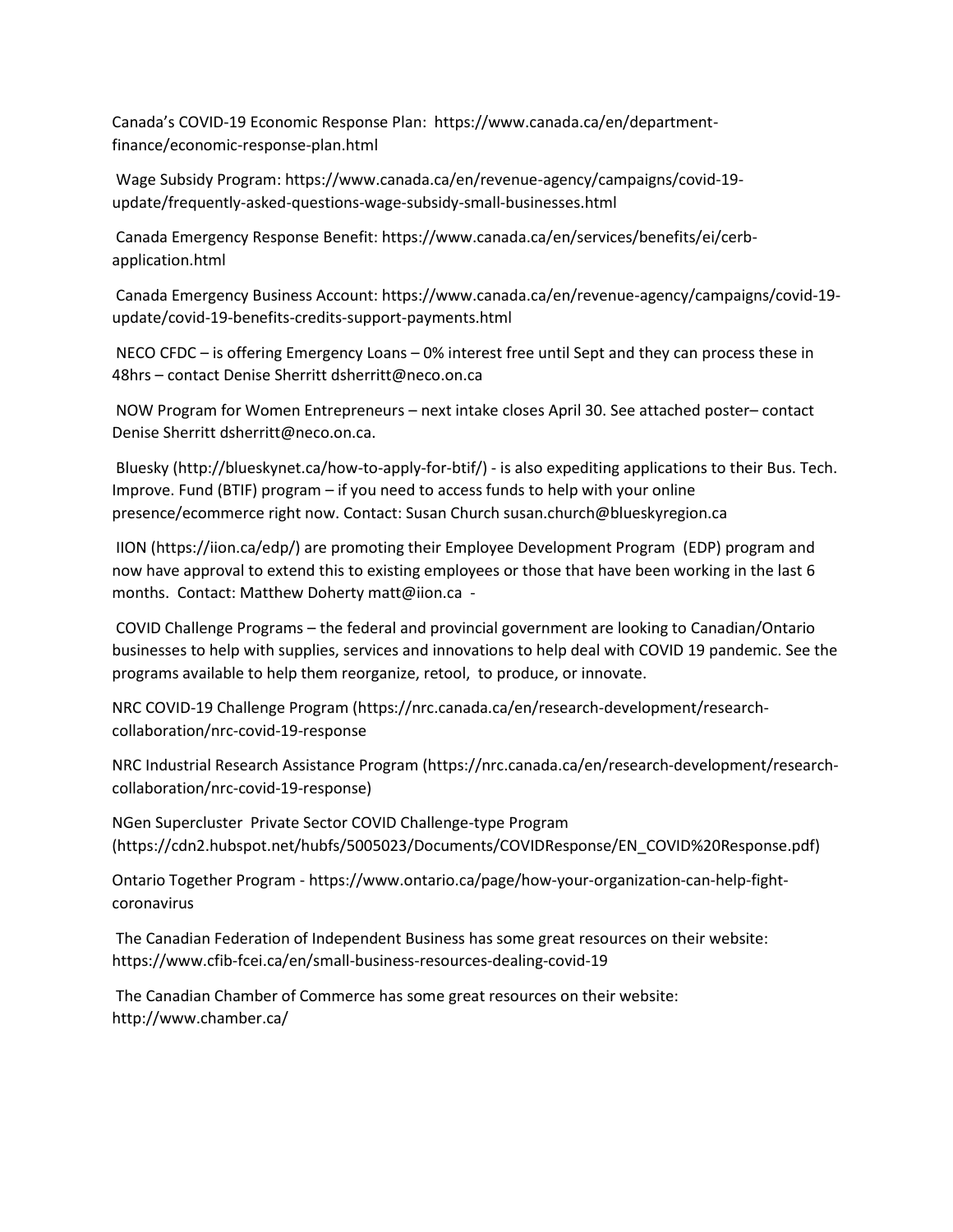Canada's COVID-19 Economic Response Plan: https://www.canada.ca/en/departmentfinance/economic-response-plan.html

Wage Subsidy Program: https://www.canada.ca/en/revenue-agency/campaigns/covid-19 update/frequently-asked-questions-wage-subsidy-small-businesses.html

Canada Emergency Response Benefit: https://www.canada.ca/en/services/benefits/ei/cerbapplication.html

Canada Emergency Business Account: https://www.canada.ca/en/revenue-agency/campaigns/covid-19 update/covid-19-benefits-credits-support-payments.html

NECO CFDC – is offering Emergency Loans – 0% interest free until Sept and they can process these in 48hrs – contact Denise Sherritt dsherritt@neco.on.ca

NOW Program for Women Entrepreneurs – next intake closes April 30. See attached poster– contact Denise Sherritt dsherritt@neco.on.ca.

Bluesky (http://blueskynet.ca/how-to-apply-for-btif/) - is also expediting applications to their Bus. Tech. Improve. Fund (BTIF) program – if you need to access funds to help with your online presence/ecommerce right now. Contact: Susan Church susan.church@blueskyregion.ca

IION (https://iion.ca/edp/) are promoting their Employee Development Program (EDP) program and now have approval to extend this to existing employees or those that have been working in the last 6 months. Contact: Matthew Doherty matt@iion.ca -

COVID Challenge Programs – the federal and provincial government are looking to Canadian/Ontario businesses to help with supplies, services and innovations to help deal with COVID 19 pandemic. See the programs available to help them reorganize, retool, to produce, or innovate.

NRC COVID-19 Challenge Program (https://nrc.canada.ca/en/research-development/researchcollaboration/nrc-covid-19-response

NRC Industrial Research Assistance Program (https://nrc.canada.ca/en/research-development/researchcollaboration/nrc-covid-19-response)

NGen Supercluster Private Sector COVID Challenge-type Program (https://cdn2.hubspot.net/hubfs/5005023/Documents/COVIDResponse/EN\_COVID%20Response.pdf)

Ontario Together Program - https://www.ontario.ca/page/how-your-organization-can-help-fightcoronavirus

The Canadian Federation of Independent Business has some great resources on their website: https://www.cfib-fcei.ca/en/small-business-resources-dealing-covid-19

The Canadian Chamber of Commerce has some great resources on their website: http://www.chamber.ca/